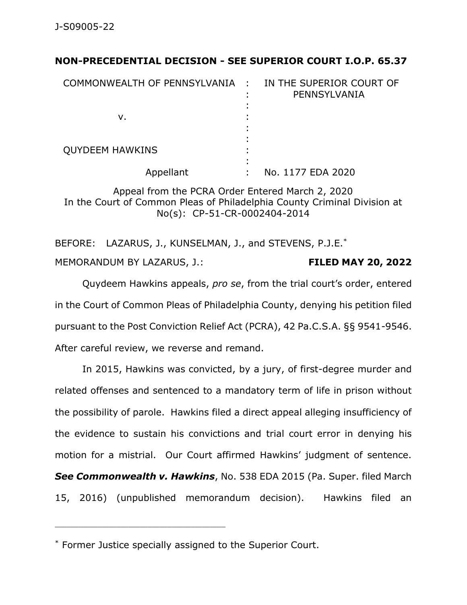## **NON-PRECEDENTIAL DECISION - SEE SUPERIOR COURT I.O.P. 65.37**

| COMMONWEALTH OF PENNSYLVANIA : | IN THE SUPERIOR COURT OF<br>PENNSYLVANIA |
|--------------------------------|------------------------------------------|
| v.                             |                                          |
| <b>QUYDEEM HAWKINS</b>         |                                          |
| Appellant                      | No. 1177 EDA 2020                        |

Appeal from the PCRA Order Entered March 2, 2020 In the Court of Common Pleas of Philadelphia County Criminal Division at No(s): CP-51-CR-0002404-2014

BEFORE: LAZARUS, J., KUNSELMAN, J., and STEVENS, P.J.E.\* MEMORANDUM BY LAZARUS, J.: **FILED MAY 20, 2022**

Quydeem Hawkins appeals, *pro se*, from the trial court's order, entered in the Court of Common Pleas of Philadelphia County, denying his petition filed pursuant to the Post Conviction Relief Act (PCRA), 42 Pa.C.S.A. §§ 9541-9546. After careful review, we reverse and remand.

In 2015, Hawkins was convicted, by a jury, of first-degree murder and related offenses and sentenced to a mandatory term of life in prison without the possibility of parole. Hawkins filed a direct appeal alleging insufficiency of the evidence to sustain his convictions and trial court error in denying his motion for a mistrial. Our Court affirmed Hawkins' judgment of sentence. *See Commonwealth v. Hawkins*, No. 538 EDA 2015 (Pa. Super. filed March 15, 2016) (unpublished memorandum decision). Hawkins filed an

\_\_\_\_\_\_\_\_\_\_\_\_\_\_\_\_\_\_\_\_\_\_\_\_\_\_\_\_\_\_\_\_\_\_\_\_\_\_\_\_\_\_\_\_

<sup>\*</sup> Former Justice specially assigned to the Superior Court.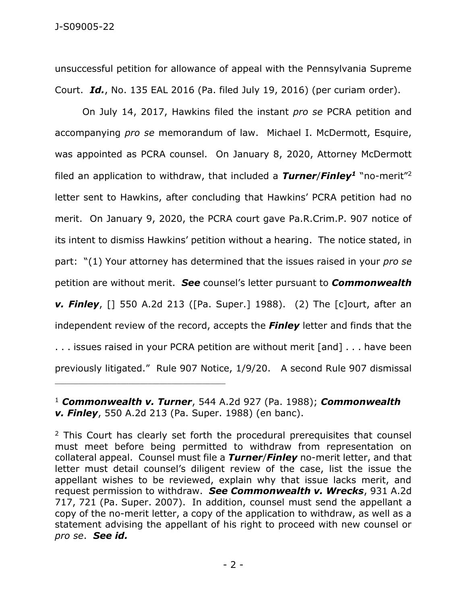unsuccessful petition for allowance of appeal with the Pennsylvania Supreme Court. *Id.*, No. 135 EAL 2016 (Pa. filed July 19, 2016) (per curiam order).

On July 14, 2017, Hawkins filed the instant *pro se* PCRA petition and accompanying *pro se* memorandum of law. Michael I. McDermott, Esquire, was appointed as PCRA counsel. On January 8, 2020, Attorney McDermott filed an application to withdraw, that included a *Turner*/*Finley<sup>1</sup>* "no-merit"<sup>2</sup> letter sent to Hawkins, after concluding that Hawkins' PCRA petition had no merit. On January 9, 2020, the PCRA court gave Pa.R.Crim.P. 907 notice of its intent to dismiss Hawkins' petition without a hearing. The notice stated, in part: "(1) Your attorney has determined that the issues raised in your *pro se*  petition are without merit. *See* counsel's letter pursuant to *Commonwealth v. Finley*, [] 550 A.2d 213 ([Pa. Super.] 1988). (2) The [c]ourt, after an independent review of the record, accepts the *Finley* letter and finds that the . . . issues raised in your PCRA petition are without merit [and] . . . have been

previously litigated." Rule 907 Notice, 1/9/20. A second Rule 907 dismissal

<sup>1</sup> *Commonwealth v. Turner*, 544 A.2d 927 (Pa. 1988); *Commonwealth v. Finley*, 550 A.2d 213 (Pa. Super. 1988) (en banc).

\_\_\_\_\_\_\_\_\_\_\_\_\_\_\_\_\_\_\_\_\_\_\_\_\_\_\_\_\_\_\_\_\_\_\_\_\_\_\_\_\_\_\_\_

<sup>2</sup> This Court has clearly set forth the procedural prerequisites that counsel must meet before being permitted to withdraw from representation on collateral appeal. Counsel must file a *Turner*/*Finley* no-merit letter, and that letter must detail counsel's diligent review of the case, list the issue the appellant wishes to be reviewed, explain why that issue lacks merit, and request permission to withdraw. *See Commonwealth v. Wrecks*, 931 A.2d 717, 721 (Pa. Super. 2007). In addition, counsel must send the appellant a copy of the no-merit letter, a copy of the application to withdraw, as well as a statement advising the appellant of his right to proceed with new counsel or *pro se*. *See id.*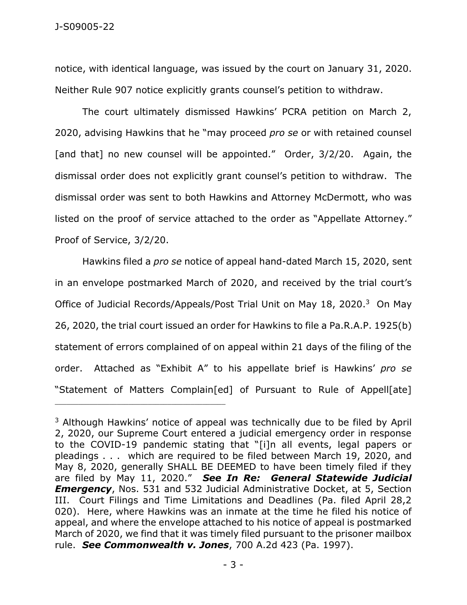notice, with identical language, was issued by the court on January 31, 2020. Neither Rule 907 notice explicitly grants counsel's petition to withdraw.

The court ultimately dismissed Hawkins' PCRA petition on March 2, 2020, advising Hawkins that he "may proceed *pro se* or with retained counsel [and that] no new counsel will be appointed." Order, 3/2/20. Again, the dismissal order does not explicitly grant counsel's petition to withdraw. The dismissal order was sent to both Hawkins and Attorney McDermott, who was listed on the proof of service attached to the order as "Appellate Attorney." Proof of Service, 3/2/20.

Hawkins filed a *pro se* notice of appeal hand-dated March 15, 2020, sent in an envelope postmarked March of 2020, and received by the trial court's Office of Judicial Records/Appeals/Post Trial Unit on May 18, 2020.<sup>3</sup> On May 26, 2020, the trial court issued an order for Hawkins to file a Pa.R.A.P. 1925(b) statement of errors complained of on appeal within 21 days of the filing of the order. Attached as "Exhibit A" to his appellate brief is Hawkins' *pro se* "Statement of Matters Complain[ed] of Pursuant to Rule of Appell[ate]

\_\_\_\_\_\_\_\_\_\_\_\_\_\_\_\_\_\_\_\_\_\_\_\_\_\_\_\_\_\_\_\_\_\_\_\_\_\_\_\_\_\_\_\_

<sup>&</sup>lt;sup>3</sup> Although Hawkins' notice of appeal was technically due to be filed by April 2, 2020, our Supreme Court entered a judicial emergency order in response to the COVID-19 pandemic stating that "[i]n all events, legal papers or pleadings . . . which are required to be filed between March 19, 2020, and May 8, 2020, generally SHALL BE DEEMED to have been timely filed if they are filed by May 11, 2020." *See In Re: General Statewide Judicial Emergency*, Nos. 531 and 532 Judicial Administrative Docket, at 5, Section III. Court Filings and Time Limitations and Deadlines (Pa. filed April 28,2 020). Here, where Hawkins was an inmate at the time he filed his notice of appeal, and where the envelope attached to his notice of appeal is postmarked March of 2020, we find that it was timely filed pursuant to the prisoner mailbox rule. *See Commonwealth v. Jones*, 700 A.2d 423 (Pa. 1997).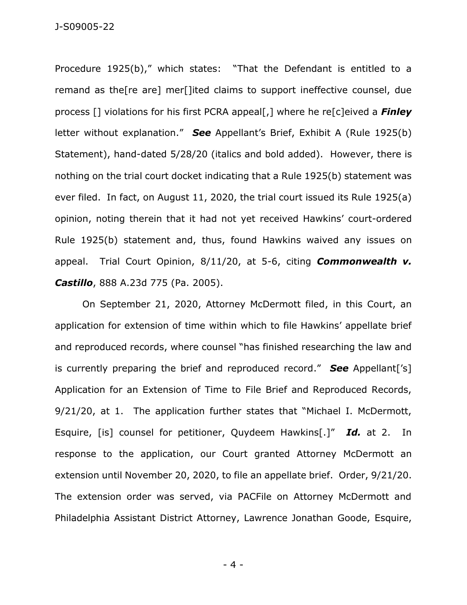J-S09005-22

Procedure 1925(b)," which states: "That the Defendant is entitled to a remand as the[re are] mer[]ited claims to support ineffective counsel, due process [] violations for his first PCRA appeal[,] where he re[c]eived a *Finley* letter without explanation." *See* Appellant's Brief, Exhibit A (Rule 1925(b) Statement), hand-dated 5/28/20 (italics and bold added). However, there is nothing on the trial court docket indicating that a Rule 1925(b) statement was ever filed. In fact, on August 11, 2020, the trial court issued its Rule 1925(a) opinion, noting therein that it had not yet received Hawkins' court-ordered Rule 1925(b) statement and, thus, found Hawkins waived any issues on appeal. Trial Court Opinion, 8/11/20, at 5-6, citing *Commonwealth v. Castillo*, 888 A.23d 775 (Pa. 2005).

On September 21, 2020, Attorney McDermott filed, in this Court, an application for extension of time within which to file Hawkins' appellate brief and reproduced records, where counsel "has finished researching the law and is currently preparing the brief and reproduced record." *See* Appellant['s] Application for an Extension of Time to File Brief and Reproduced Records, 9/21/20, at 1. The application further states that "Michael I. McDermott, Esquire, [is] counsel for petitioner, Quydeem Hawkins[.]" *Id.* at 2. In response to the application, our Court granted Attorney McDermott an extension until November 20, 2020, to file an appellate brief. Order, 9/21/20. The extension order was served, via PACFile on Attorney McDermott and Philadelphia Assistant District Attorney, Lawrence Jonathan Goode, Esquire,

- 4 -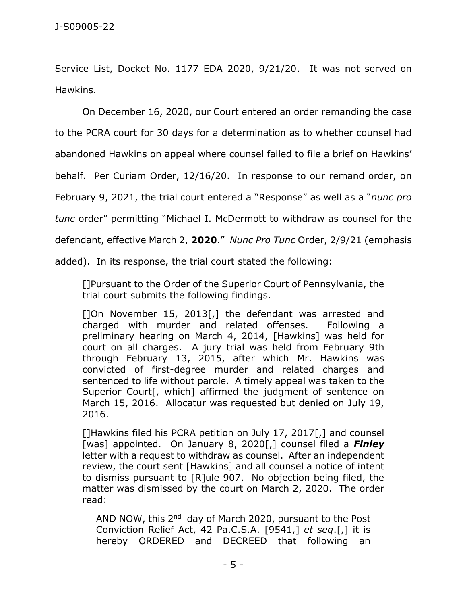Service List, Docket No. 1177 EDA 2020, 9/21/20. It was not served on Hawkins.

On December 16, 2020, our Court entered an order remanding the case to the PCRA court for 30 days for a determination as to whether counsel had abandoned Hawkins on appeal where counsel failed to file a brief on Hawkins' behalf. Per Curiam Order, 12/16/20. In response to our remand order, on February 9, 2021, the trial court entered a "Response" as well as a "*nunc pro tunc* order" permitting "Michael I. McDermott to withdraw as counsel for the defendant, effective March 2, **2020**." *Nunc Pro Tunc* Order, 2/9/21 (emphasis added). In its response, the trial court stated the following:

[]Pursuant to the Order of the Superior Court of Pennsylvania, the trial court submits the following findings.

[]On November 15, 2013[,] the defendant was arrested and charged with murder and related offenses. Following a preliminary hearing on March 4, 2014, [Hawkins] was held for court on all charges. A jury trial was held from February 9th through February 13, 2015, after which Mr. Hawkins was convicted of first-degree murder and related charges and sentenced to life without parole. A timely appeal was taken to the Superior Court<sup>[</sup>, which] affirmed the judgment of sentence on March 15, 2016. Allocatur was requested but denied on July 19, 2016.

[]Hawkins filed his PCRA petition on July 17, 2017[,] and counsel [was] appointed. On January 8, 2020[,] counsel filed a *Finley* letter with a request to withdraw as counsel. After an independent review, the court sent [Hawkins] and all counsel a notice of intent to dismiss pursuant to [R]ule 907. No objection being filed, the matter was dismissed by the court on March 2, 2020. The order read:

AND NOW, this 2<sup>nd</sup> day of March 2020, pursuant to the Post Conviction Relief Act, 42 Pa.C.S.A. [9541,] *et seq*.[,] it is hereby ORDERED and DECREED that following an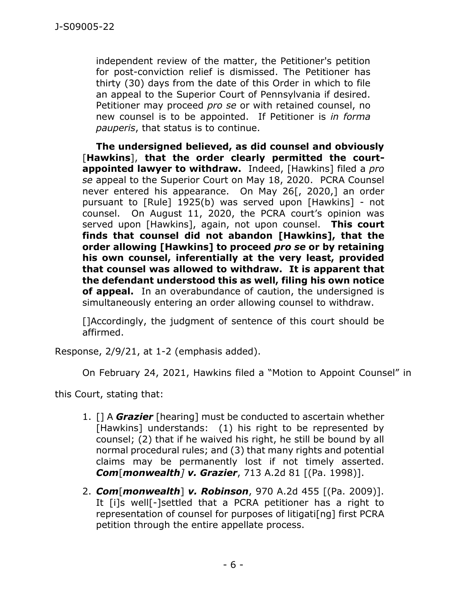independent review of the matter, the Petitioner's petition for post-conviction relief is dismissed. The Petitioner has thirty (30) days from the date of this Order in which to file an appeal to the Superior Court of Pennsylvania if desired. Petitioner may proceed *pro se* or with retained counsel, no new counsel is to be appointed. If Petitioner is *in forma pauperis*, that status is to continue.

**The undersigned believed, as did counsel and obviously**  [**Hawkins**], **that the order clearly permitted the courtappointed lawyer to withdraw.** Indeed, [Hawkins] filed a *pro se* appeal to the Superior Court on May 18, 2020. PCRA Counsel never entered his appearance. On May 26[, 2020,] an order pursuant to [Rule] 1925(b) was served upon [Hawkins] - not counsel. On August 11, 2020, the PCRA court's opinion was served upon [Hawkins], again, not upon counsel. **This court finds that counsel did not abandon [Hawkins], that the order allowing [Hawkins] to proceed** *pro se* **or by retaining his own counsel, inferentially at the very least, provided that counsel was allowed to withdraw. It is apparent that the defendant understood this as well, filing his own notice of appeal.** In an overabundance of caution, the undersigned is simultaneously entering an order allowing counsel to withdraw.

[]Accordingly, the judgment of sentence of this court should be affirmed.

Response, 2/9/21, at 1-2 (emphasis added).

On February 24, 2021, Hawkins filed a "Motion to Appoint Counsel" in

this Court, stating that:

- 1. [] A *Grazier* [hearing] must be conducted to ascertain whether [Hawkins] understands: (1) his right to be represented by counsel; (2) that if he waived his right, he still be bound by all normal procedural rules; and (3) that many rights and potential claims may be permanently lost if not timely asserted. *Com*[*monwealth] v. Grazier*, 713 A.2d 81 [(Pa. 1998)].
- 2. *Com*[*monwealth*] *v. Robinson*, 970 A.2d 455 [(Pa. 2009)]. It [i]s well[-]settled that a PCRA petitioner has a right to representation of counsel for purposes of litigati[ng] first PCRA petition through the entire appellate process.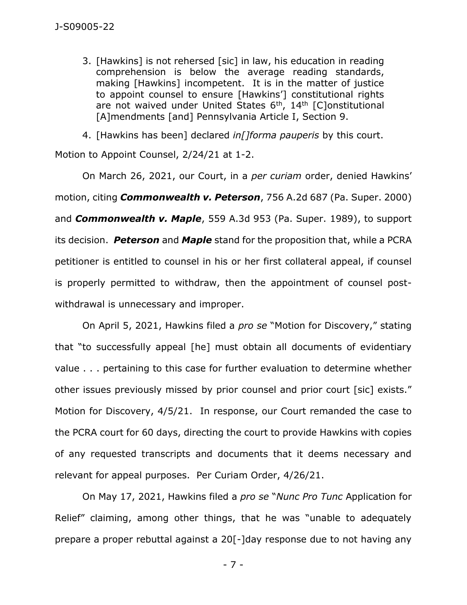3. [Hawkins] is not rehersed [sic] in law, his education in reading comprehension is below the average reading standards, making [Hawkins] incompetent. It is in the matter of justice to appoint counsel to ensure [Hawkins'] constitutional rights are not waived under United States  $6<sup>th</sup>$ , 14<sup>th</sup> [C]onstitutional [A]mendments [and] Pennsylvania Article I, Section 9.

4. [Hawkins has been] declared *in[]forma pauperis* by this court. Motion to Appoint Counsel, 2/24/21 at 1-2.

On March 26, 2021, our Court, in a *per curiam* order, denied Hawkins' motion, citing *Commonwealth v. Peterson*, 756 A.2d 687 (Pa. Super. 2000) and *Commonwealth v. Maple*, 559 A.3d 953 (Pa. Super. 1989), to support its decision. *Peterson* and *Maple* stand for the proposition that, while a PCRA petitioner is entitled to counsel in his or her first collateral appeal, if counsel is properly permitted to withdraw, then the appointment of counsel postwithdrawal is unnecessary and improper.

On April 5, 2021, Hawkins filed a *pro se* "Motion for Discovery," stating that "to successfully appeal [he] must obtain all documents of evidentiary value . . . pertaining to this case for further evaluation to determine whether other issues previously missed by prior counsel and prior court [sic] exists." Motion for Discovery, 4/5/21. In response, our Court remanded the case to the PCRA court for 60 days, directing the court to provide Hawkins with copies of any requested transcripts and documents that it deems necessary and relevant for appeal purposes. Per Curiam Order, 4/26/21.

On May 17, 2021, Hawkins filed a *pro se* "*Nunc Pro Tunc* Application for Relief" claiming, among other things, that he was "unable to adequately prepare a proper rebuttal against a 20[-]day response due to not having any

- 7 -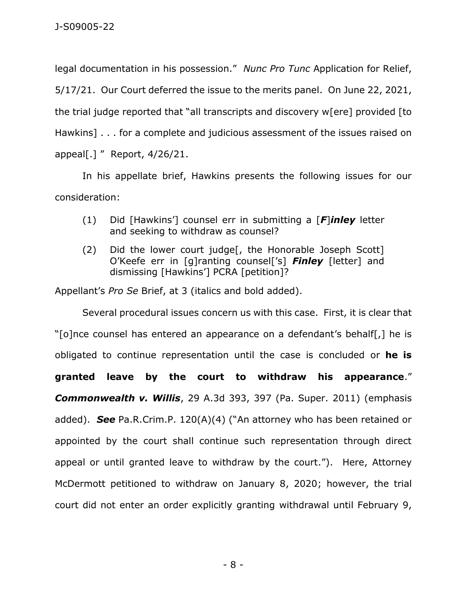legal documentation in his possession." *Nunc Pro Tunc* Application for Relief, 5/17/21. Our Court deferred the issue to the merits panel. On June 22, 2021, the trial judge reported that "all transcripts and discovery w[ere] provided [to Hawkins] . . . for a complete and judicious assessment of the issues raised on appeal[.] " Report, 4/26/21.

In his appellate brief, Hawkins presents the following issues for our consideration:

- (1) Did [Hawkins'] counsel err in submitting a [*F*]*inley* letter and seeking to withdraw as counsel?
- (2) Did the lower court judge[, the Honorable Joseph Scott] O'Keefe err in [g]ranting counsel['s] *Finley* [letter] and dismissing [Hawkins'] PCRA [petition]?

Appellant's *Pro Se* Brief, at 3 (italics and bold added).

Several procedural issues concern us with this case. First, it is clear that "[o]nce counsel has entered an appearance on a defendant's behalf[,] he is obligated to continue representation until the case is concluded or **he is granted leave by the court to withdraw his appearance**." *Commonwealth v. Willis*, 29 A.3d 393, 397 (Pa. Super. 2011) (emphasis added). *See* Pa.R.Crim.P. 120(A)(4) ("An attorney who has been retained or appointed by the court shall continue such representation through direct appeal or until granted leave to withdraw by the court."). Here, Attorney McDermott petitioned to withdraw on January 8, 2020; however, the trial court did not enter an order explicitly granting withdrawal until February 9,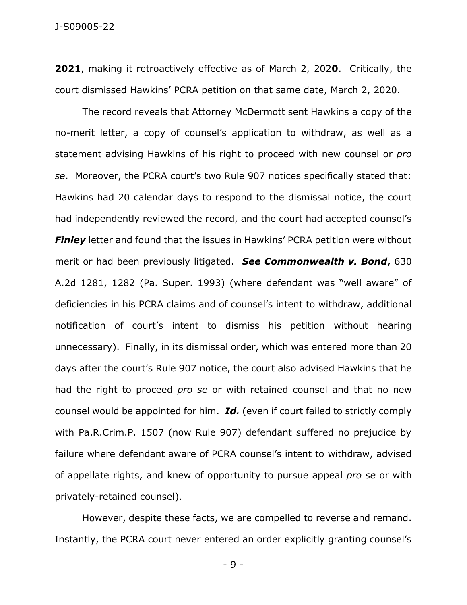**2021**, making it retroactively effective as of March 2, 202**0**. Critically, the court dismissed Hawkins' PCRA petition on that same date, March 2, 2020.

The record reveals that Attorney McDermott sent Hawkins a copy of the no-merit letter, a copy of counsel's application to withdraw, as well as a statement advising Hawkins of his right to proceed with new counsel or *pro se*. Moreover, the PCRA court's two Rule 907 notices specifically stated that: Hawkins had 20 calendar days to respond to the dismissal notice, the court had independently reviewed the record, and the court had accepted counsel's **Finley** letter and found that the issues in Hawkins' PCRA petition were without merit or had been previously litigated. *See Commonwealth v. Bond*, 630 A.2d 1281, 1282 (Pa. Super. 1993) (where defendant was "well aware" of deficiencies in his PCRA claims and of counsel's intent to withdraw, additional notification of court's intent to dismiss his petition without hearing unnecessary). Finally, in its dismissal order, which was entered more than 20 days after the court's Rule 907 notice, the court also advised Hawkins that he had the right to proceed *pro se* or with retained counsel and that no new counsel would be appointed for him. *Id.* (even if court failed to strictly comply with Pa.R.Crim.P. 1507 (now Rule 907) defendant suffered no prejudice by failure where defendant aware of PCRA counsel's intent to withdraw, advised of appellate rights, and knew of opportunity to pursue appeal *pro se* or with privately-retained counsel).

However, despite these facts, we are compelled to reverse and remand. Instantly, the PCRA court never entered an order explicitly granting counsel's

- 9 -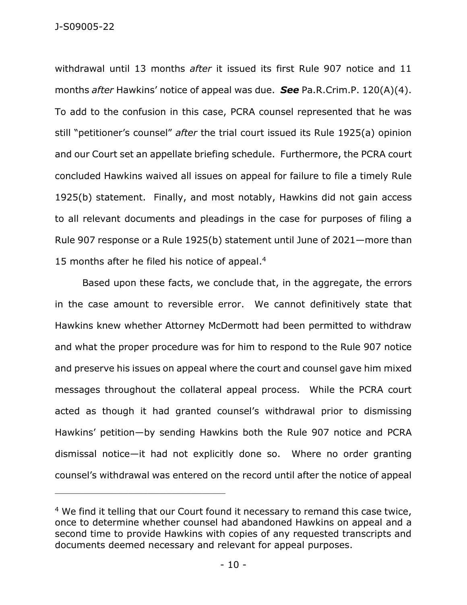withdrawal until 13 months *after* it issued its first Rule 907 notice and 11 months *after* Hawkins' notice of appeal was due. *See* Pa.R.Crim.P. 120(A)(4). To add to the confusion in this case, PCRA counsel represented that he was still "petitioner's counsel" *after* the trial court issued its Rule 1925(a) opinion and our Court set an appellate briefing schedule. Furthermore, the PCRA court concluded Hawkins waived all issues on appeal for failure to file a timely Rule 1925(b) statement. Finally, and most notably, Hawkins did not gain access to all relevant documents and pleadings in the case for purposes of filing a Rule 907 response or a Rule 1925(b) statement until June of 2021—more than 15 months after he filed his notice of appeal.<sup>4</sup>

Based upon these facts, we conclude that, in the aggregate, the errors in the case amount to reversible error. We cannot definitively state that Hawkins knew whether Attorney McDermott had been permitted to withdraw and what the proper procedure was for him to respond to the Rule 907 notice and preserve his issues on appeal where the court and counsel gave him mixed messages throughout the collateral appeal process. While the PCRA court acted as though it had granted counsel's withdrawal prior to dismissing Hawkins' petition—by sending Hawkins both the Rule 907 notice and PCRA dismissal notice—it had not explicitly done so. Where no order granting counsel's withdrawal was entered on the record until after the notice of appeal

\_\_\_\_\_\_\_\_\_\_\_\_\_\_\_\_\_\_\_\_\_\_\_\_\_\_\_\_\_\_\_\_\_\_\_\_\_\_\_\_\_\_\_\_

<sup>&</sup>lt;sup>4</sup> We find it telling that our Court found it necessary to remand this case twice, once to determine whether counsel had abandoned Hawkins on appeal and a second time to provide Hawkins with copies of any requested transcripts and documents deemed necessary and relevant for appeal purposes.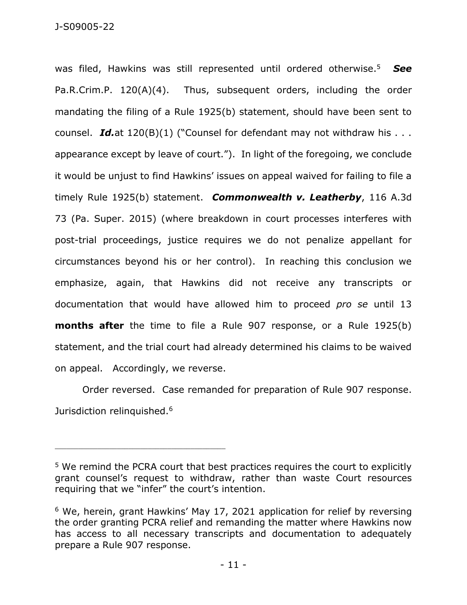was filed, Hawkins was still represented until ordered otherwise. 5 *See*  Pa.R.Crim.P. 120(A)(4). Thus, subsequent orders, including the order mandating the filing of a Rule 1925(b) statement, should have been sent to counsel. *Id.at* 120(B)(1) ("Counsel for defendant may not withdraw his . . . appearance except by leave of court."). In light of the foregoing, we conclude it would be unjust to find Hawkins' issues on appeal waived for failing to file a timely Rule 1925(b) statement. *Commonwealth v. Leatherby*, 116 A.3d 73 (Pa. Super. 2015) (where breakdown in court processes interferes with post-trial proceedings, justice requires we do not penalize appellant for circumstances beyond his or her control).In reaching this conclusion we emphasize, again, that Hawkins did not receive any transcripts or documentation that would have allowed him to proceed *pro se* until 13 **months after** the time to file a Rule 907 response, or a Rule 1925(b) statement, and the trial court had already determined his claims to be waived on appeal. Accordingly, we reverse.

Order reversed. Case remanded for preparation of Rule 907 response. Jurisdiction relinquished.<sup>6</sup>

<sup>&</sup>lt;sup>5</sup> We remind the PCRA court that best practices requires the court to explicitly grant counsel's request to withdraw, rather than waste Court resources requiring that we "infer" the court's intention.

<sup>&</sup>lt;sup>6</sup> We, herein, grant Hawkins' May 17, 2021 application for relief by reversing the order granting PCRA relief and remanding the matter where Hawkins now has access to all necessary transcripts and documentation to adequately prepare a Rule 907 response.